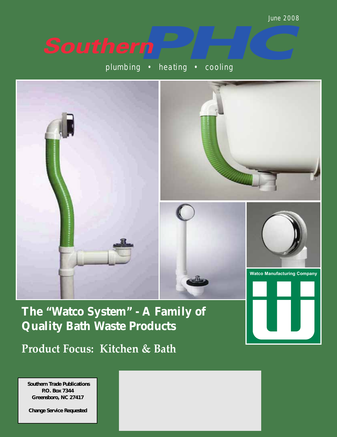# **Southern**

plumbing • heating • cooling



**The "Watco System" - A Family of Quality Bath Waste Products Product Focus: Kitchen & Bath**

**Southern Trade Publications Southern Trade Publications P.O. Box 7344 P.O. Box 7344 Greensboro, NC 27417 Greensboro, NC 27417**

**Change Service Requested Change Service Requested**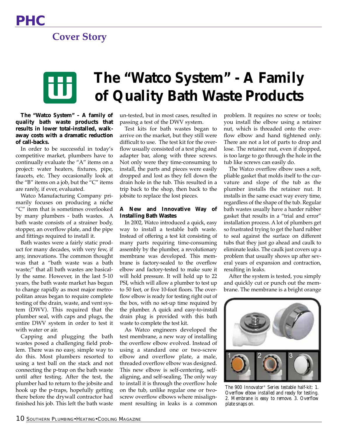### **Cover Story**

## **The "Watco System" - A Family of Quality Bath Waste Products**

**The "Watco System" – A family of quality bath waste products that results in lower total-installed, walkaway costs with a dramatic reduction of call-backs.**

In order to be successful in today's competitive market, plumbers have to continually evaluate the "A" items on a project: water heaters, fixtures, pipe, faucets, etc. They occasionally look at the "B" items on a job, but the "C" items are rarely, if ever, evaluated.

Watco Manufacturing Company primarily focuses on producing a niche "C" item that is sometimes overlooked by many plumbers - bath wastes. A bath waste consists of a strainer body, stopper, an overflow plate, and the pipe and fittings required to install it.

Bath wastes were a fairly static product for many decades, with very few, if any, innovations. The common thought was that a "bath waste was a bath waste;" that all bath wastes are basically the same. However, in the last 5-10 years, the bath waste market has begun to change rapidly as most major metropolitan areas began to require complete testing of the drain, waste, and vent system (DWV). This required that the plumber seal, with caps and plugs, the entire DWV system in order to test it with water or air.

Capping and plugging the bath wastes posed a challenging field problem. There was no easy, simple way to do this. Most plumbers resorted to using a test ball on the stack and not connecting the p-trap on the bath waste until after testing. After the test, the plumber had to return to the jobsite and hook up the p-traps, hopefully getting there before the drywall contractor had finished his job. This left the bath waste

un-tested, but in most cases, resulted in passing a test of the DWV system.

Test kits for bath wastes began to arrive on the market, but they still were difficult to use. The test kit for the overflow usually consisted of a test plug and adapter bar, along with three screws. Not only were they time-consuming to install, the parts and pieces were easily dropped and lost as they fell down the drain hole in the tub. This resulted in a trip back to the shop, then back to the jobsite to replace the lost pieces.

#### **A New and Innovative Way of Installing Bath Wastes**

In 2002, Watco introduced a quick, easy way to install a testable bath waste. Instead of offering a test kit consisting of many parts requiring time-consuming assembly by the plumber, a revolutionary membrane was developed. This membrane is factory-sealed to the overflow elbow and factory-tested to make sure it will hold pressure. It will hold up to 22 PSI, which will allow a plumber to test up to 50 feet, or five 10-foot floors. The overflow elbow is ready for testing right out of the box, with no set-up time required by the plumber. A quick and easy-to-install drain plug is provided with this bath waste to complete the test kit.

As Watco engineers developed the test membrane, a new way of installing the overflow elbow evolved. Instead of using a standard one or two-screw elbow and overflow plate, a male, threaded overflow elbow was designed. This new elbow is self-centering, selfaligning, and self-sealing. The only way to install it is through the overflow hole on the tub, unlike regular one or twoscrew overflow elbows where misalignment resulting in leaks is a common

problem. It requires no screw or tools; you install the elbow using a retainer nut, which is threaded onto the overflow elbow and hand tightened only. There are not a lot of parts to drop and lose. The retainer nut, even if dropped, is too large to go through the hole in the tub like screws can easily do.

The Watco overflow elbow uses a soft, pliable gasket that molds itself to the curvature and slope of the tub as the plumber installs the retainer nut. It installs in the same exact way every time, regardless of the shape of the tub. Regular bath wastes usually have a harder rubber gasket that results in a "trial and error" installation process. A lot of plumbers get so frustrated trying to get the hard rubber to seal against the surface on different tubs that they just go ahead and caulk to eliminate leaks. The caulk just covers up a problem that usually shows up after several years of expansion and contraction, resulting in leaks.

After the system is tested, you simply and quickly cut or punch out the membrane. The membrane is a bright orange



*The 900 Innovator® Series testable half-kit: 1. Overflow elbow installed and ready for testing. 2. Membrane is easy to remove. 3. Overflow plate snaps on.*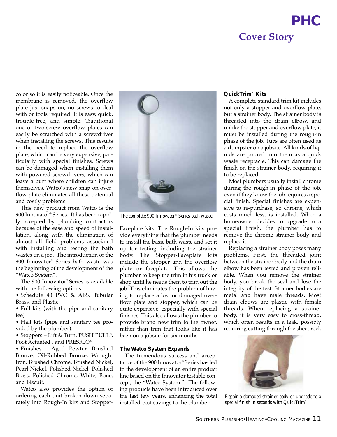### **PHC Cover Story**

color so it is easily noticeable. Once the membrane is removed, the overflow plate just snaps on, no screws to deal with or tools required. It is easy, quick, trouble-free, and simple. Traditional one or two-screw overflow plates can easily be scratched with a screwdriver when installing the screws. This results in the need to replace the overflow plate, which can be very expensive, particularly with special finishes. Screws can be damaged when installing them with powered screwdrivers, which can leave a burr where children can injure themselves. Watco's new snap-on overflow plate eliminates all these potential and costly problems.

This new product from Watco is the 900 Innovator® Series. It has been rapidly accepted by plumbing contractors because of the ease and speed of installation, along with the elimination of almost all field problems associated with installing and testing the bath wastes on a job. The introduction of the 900 Innovator® Series bath waste was the beginning of the development of the "Watco System".

The 900 Innovator® Series is available with the following options:

• Schedule 40 PVC & ABS, Tubular Brass, and Plastic

• Full kits (with the pipe and sanitary tee)

• Half kits (pipe and sanitary tee provided by the plumber).

• Stoppers – Lift & Turn, PUSH PULL®, Foot Actuated , and PRESFLO®

• Finishes - Aged Pewter, Brushed Bronze, Oil-Rubbed Bronze, Wrought Iron, Brushed Chrome, Brushed Nickel, Pearl Nickel, Polished Nickel, Polished Brass, Polished Chrome, White, Bone, and Biscuit.

Watco also provides the option of ordering each unit broken down separately into Rough-In kits and Stopper-



*The complete 900 Innovator*® *Series bath waste.*

Faceplate kits. The Rough-In kits provide everything that the plumber needs to install the basic bath waste and set it up for testing, including the strainer body. The Stopper-Faceplate kits include the stopper and the overflow plate or faceplate. This allows the plumber to keep the trim in his truck or shop until he needs them to trim out the job. This eliminates the problem of having to replace a lost or damaged overflow plate and stopper, which can be quite expensive, especially with special finishes. This also allows the plumber to provide brand new trim to the owner, rather than trim that looks like it has been on a jobsite for six months.

#### **The Watco System Expands**

The tremendous success and acceptance of the 900 Innovator® Series has led to the development of an entire product line based on the Innovator testable concept, the "Watco System." The following products have been introduced over the last few years, enhancing the total installed-cost savings to the plumber:

#### **QuickTrim™ Kits**

A complete standard trim kit includes not only a stopper and overflow plate, but a strainer body. The strainer body is threaded into the drain elbow, and unlike the stopper and overflow plate, it must be installed during the rough-in phase of the job. Tubs are often used as a dumpster on a jobsite. All kinds of liquids are poured into them as a quick waste receptacle. This can damage the finish on the strainer body, requiring it to be replaced.

Most plumbers usually install chrome during the rough-in phase of the job, even if they know the job requires a special finish. Special finishes are expensive to re-purchase, so chrome, which costs much less, is installed. When a homeowner decides to upgrade to a special finish, the plumber has to remove the chrome strainer body and replace it.

Replacing a strainer body poses many problems. First, the threaded joint between the strainer body and the drain elbow has been tested and proven reliable. When you remove the strainer body, you break the seal and lose the integrity of the test. Strainer bodies are metal and have male threads. Most drain elbows are plastic with female threads. When replacing a strainer body, it is very easy to cross-thread, which often results in a leak, possibly requiring cutting through the sheet rock



*Repair a damaged strainer body or upgrade to a special finish in seconds with QuickTrim™.*